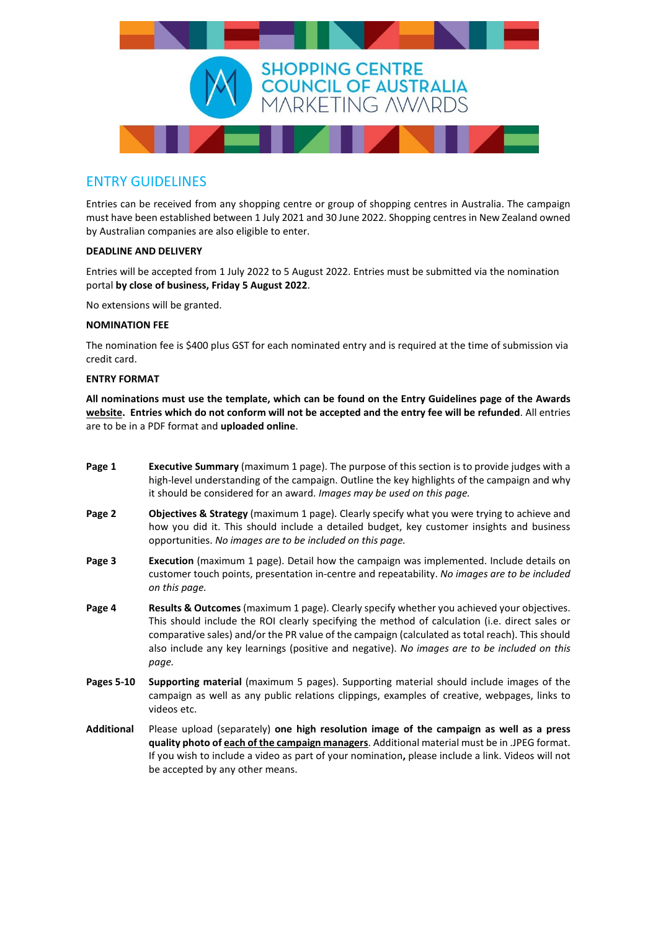

## ENTRY GUIDELINES

Entries can be received from any shopping centre or group of shopping centres in Australia. The campaign must have been established between 1 July 2021 and 30 June 2022. Shopping centres in New Zealand owned by Australian companies are also eligible to enter.

### **DEADLINE AND DELIVERY**

Entries will be accepted from 1 July 2022 to 5 August 2022. Entries must be submitted via the nomination portal **by close of business, Friday 5 August 2022**.

No extensions will be granted.

### **NOMINATION FEE**

The nomination fee is \$400 plus GST for each nominated entry and is required at the time of submission via credit card.

### **ENTRY FORMAT**

**All nominations must use the template, which can be found on the Entry Guidelines page of the Awards [website.](https://www.sccamarketingawards.com.au/entry-guidelines) Entries which do not conform will not be accepted and the entry fee will be refunded**. All entries are to be in a PDF format and **uploaded online**.

- **Page 1 Executive Summary** (maximum 1 page). The purpose of this section is to provide judges with a high-level understanding of the campaign. Outline the key highlights of the campaign and why it should be considered for an award. *Images may be used on this page.*
- **Page 2 Objectives & Strategy** (maximum 1 page). Clearly specify what you were trying to achieve and how you did it. This should include a detailed budget, key customer insights and business opportunities. *No images are to be included on this page.*
- **Page 3 Execution** (maximum 1 page). Detail how the campaign was implemented. Include details on customer touch points, presentation in-centre and repeatability. *No images are to be included on this page.*
- **Page 4 Results & Outcomes** (maximum 1 page). Clearly specify whether you achieved your objectives. This should include the ROI clearly specifying the method of calculation (i.e. direct sales or comparative sales) and/or the PR value of the campaign (calculated as total reach). This should also include any key learnings (positive and negative). *No images are to be included on this page.*
- **Pages 5-10 Supporting material** (maximum 5 pages). Supporting material should include images of the campaign as well as any public relations clippings, examples of creative, webpages, links to videos etc.
- **Additional** Please upload (separately) **one high resolution image of the campaign as well as a press quality photo of each of the campaign managers**. Additional material must be in .JPEG format. If you wish to include a video as part of your nomination**,** please include a link. Videos will not be accepted by any other means.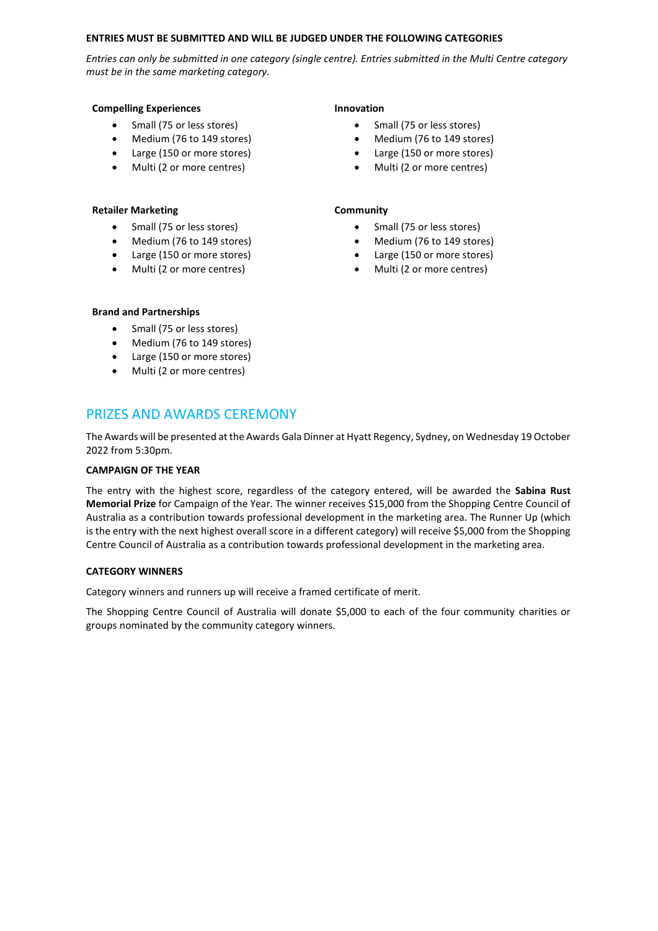#### **ENTRIES MUST BE SUBMITTED AND WILL BE JUDGED UNDER THE FOLLOWING CATEGORIES**

*Entries can only be submitted in one category (single centre). Entries submitted in the Multi Centre category must be in the same marketing category.* 

#### **Compelling Experiences Innovation**

- Small (75 or less stores)
- Medium (76 to 149 stores)
- Large (150 or more stores)
- Multi (2 or more centres)

#### **Retailer Marketing Community**

- Small (75 or less stores)
- Medium (76 to 149 stores)
- Large (150 or more stores)
- Multi (2 or more centres)

- Small (75 or less stores)
- Medium (76 to 149 stores)
- Large (150 or more stores)
- Multi (2 or more centres)

- Small (75 or less stores)
- Medium (76 to 149 stores)
- Large (150 or more stores)
- Multi (2 or more centres)

### **Brand and Partnerships**

- Small (75 or less stores)
- Medium (76 to 149 stores)
- Large (150 or more stores)
- Multi (2 or more centres)

## PRIZES AND AWARDS CEREMONY

The Awards will be presented at the Awards Gala Dinner at Hyatt Regency, Sydney, on Wednesday 19 October 2022 from 5:30pm.

### **CAMPAIGN OF THE YEAR**

The entry with the highest score, regardless of the category entered, will be awarded the **Sabina Rust Memorial Prize** for Campaign of the Year. The winner receives \$15,000 from the Shopping Centre Council of Australia as a contribution towards professional development in the marketing area. The Runner Up (which is the entry with the next highest overall score in a different category) will receive \$5,000 from the Shopping Centre Council of Australia as a contribution towards professional development in the marketing area.

### **CATEGORY WINNERS**

Category winners and runners up will receive a framed certificate of merit.

The Shopping Centre Council of Australia will donate \$5,000 to each of the four community charities or groups nominated by the community category winners.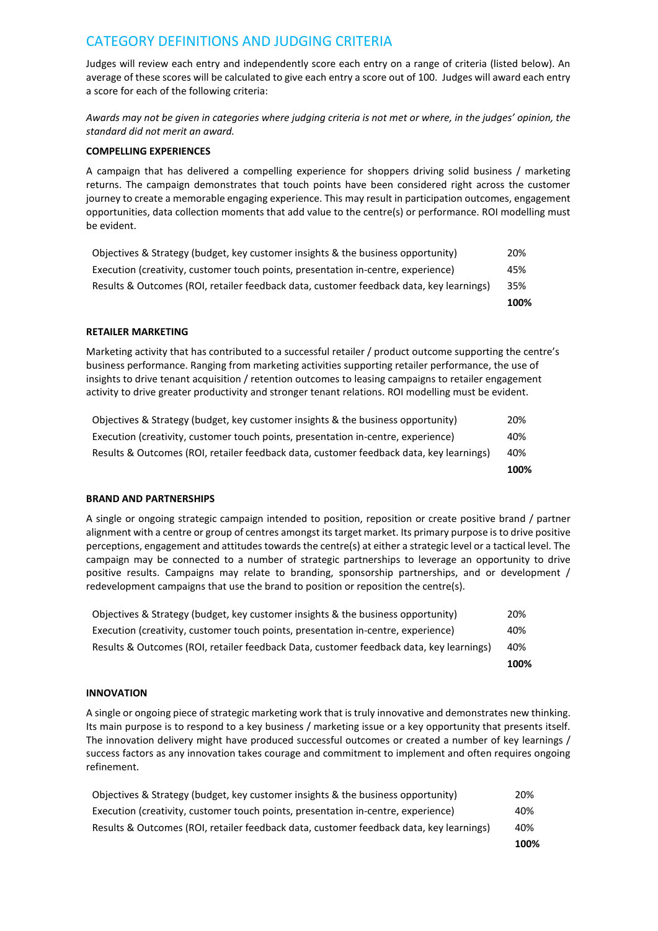# CATEGORY DEFINITIONS AND JUDGING CRITERIA

Judges will review each entry and independently score each entry on a range of criteria (listed below). An average of these scores will be calculated to give each entry a score out of 100. Judges will award each entry a score for each of the following criteria:

*Awards may not be given in categories where judging criteria is not met or where, in the judges' opinion, the standard did not merit an award.*

### **COMPELLING EXPERIENCES**

A campaign that has delivered a compelling experience for shoppers driving solid business / marketing returns. The campaign demonstrates that touch points have been considered right across the customer journey to create a memorable engaging experience. This may result in participation outcomes, engagement opportunities, data collection moments that add value to the centre(s) or performance. ROI modelling must be evident.

|                                                                                         | 100% |
|-----------------------------------------------------------------------------------------|------|
| Results & Outcomes (ROI, retailer feedback data, customer feedback data, key learnings) | 35%  |
| Execution (creativity, customer touch points, presentation in-centre, experience)       | 45%  |
| Objectives & Strategy (budget, key customer insights & the business opportunity)        | 20%  |

#### **RETAILER MARKETING**

Marketing activity that has contributed to a successful retailer / product outcome supporting the centre's business performance. Ranging from marketing activities supporting retailer performance, the use of insights to drive tenant acquisition / retention outcomes to leasing campaigns to retailer engagement activity to drive greater productivity and stronger tenant relations. ROI modelling must be evident.

|                                                                                         | 100% |
|-----------------------------------------------------------------------------------------|------|
| Results & Outcomes (ROI, retailer feedback data, customer feedback data, key learnings) | 40%  |
| Execution (creativity, customer touch points, presentation in-centre, experience)       | 40%  |
| Objectives & Strategy (budget, key customer insights & the business opportunity)        | 20%  |

### **BRAND AND PARTNERSHIPS**

A single or ongoing strategic campaign intended to position, reposition or create positive brand / partner alignment with a centre or group of centres amongst its target market. Its primary purpose is to drive positive perceptions, engagement and attitudes towards the centre(s) at either a strategic level or a tactical level. The campaign may be connected to a number of strategic partnerships to leverage an opportunity to drive positive results. Campaigns may relate to branding, sponsorship partnerships, and or development / redevelopment campaigns that use the brand to position or reposition the centre(s).

|                                                                                         | 100% |
|-----------------------------------------------------------------------------------------|------|
| Results & Outcomes (ROI, retailer feedback Data, customer feedback data, key learnings) | 40%  |
| Execution (creativity, customer touch points, presentation in-centre, experience)       | 40%  |
| Objectives & Strategy (budget, key customer insights & the business opportunity)        | 20%  |

### **INNOVATION**

A single or ongoing piece of strategic marketing work that is truly innovative and demonstrates new thinking. Its main purpose is to respond to a key business / marketing issue or a key opportunity that presents itself. The innovation delivery might have produced successful outcomes or created a number of key learnings / success factors as any innovation takes courage and commitment to implement and often requires ongoing refinement.

|                                                                                         | 100% |
|-----------------------------------------------------------------------------------------|------|
| Results & Outcomes (ROI, retailer feedback data, customer feedback data, key learnings) | 40%  |
| Execution (creativity, customer touch points, presentation in-centre, experience)       | 40%  |
| Objectives & Strategy (budget, key customer insights & the business opportunity)        | 20%  |